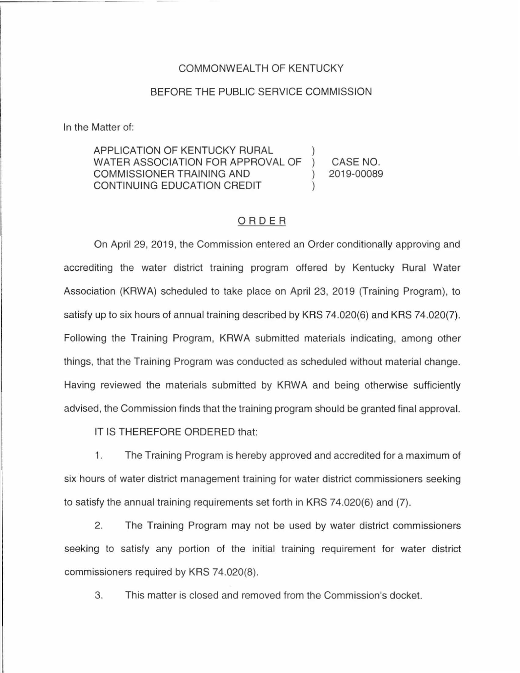## COMMONWEALTH OF KENTUCKY

## BEFORE THE PUBLIC SERVICE COMMISSION

In the Matter of:

## APPLICATION OF KENTUCKY RURAL WATER ASSOCIATION FOR APPROVAL OF COMMISSIONER TRAINING AND CONTINUING EDUCATION CREDIT CASE NO. 2019-00089

## ORDER

On April 29, 2019, the Commission entered an Order conditionally approving and accrediting the water district training program offered by Kentucky Rural Water Association (KAWA) scheduled to take place on April 23, 2019 (Training Program), to satisfy up to six hours of annual training described by KRS 74.020(6) and KRS 74.020(7). Following the Training Program, KAWA submitted materials indicating, among other things, that the Training Program was conducted as scheduled without material change. Having reviewed the materials submitted by KAWA and being otherwise sufficiently advised, the Commission finds that the training program should be granted final approval.

IT IS THEREFORE ORDERED that:

1. The Training Program is hereby approved and accredited for a maximum of six hours of water district management training for water district commissioners seeking to satisfy the annual training requirements set forth in KRS 74.020(6) and (7).

2. The Training Program may not be used by water district commissioners seeking to satisfy any portion of the initial training requirement for water district commissioners required by KRS 74.020(8).

3. This matter is closed and removed from the Commission's docket.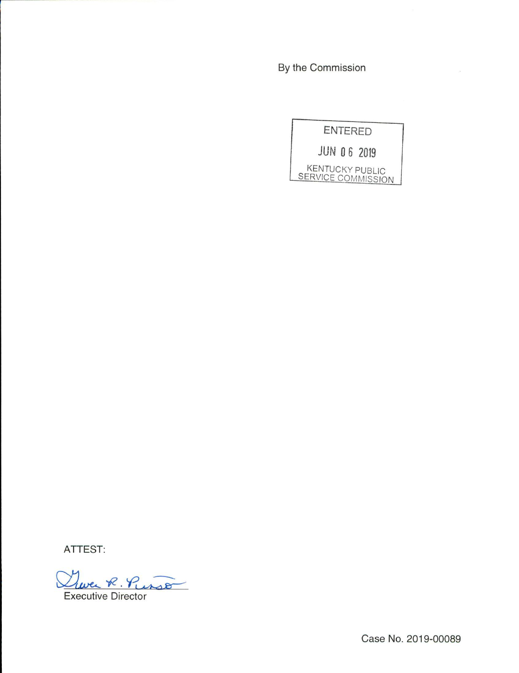By the Commission

**ENTERED JUN 06 2019** KENTUCKY PUBLIC<br>SERVICE COMMISSION

ATTEST:

Twee R. Purso **Executive Director** 

Case No. 2019-00089